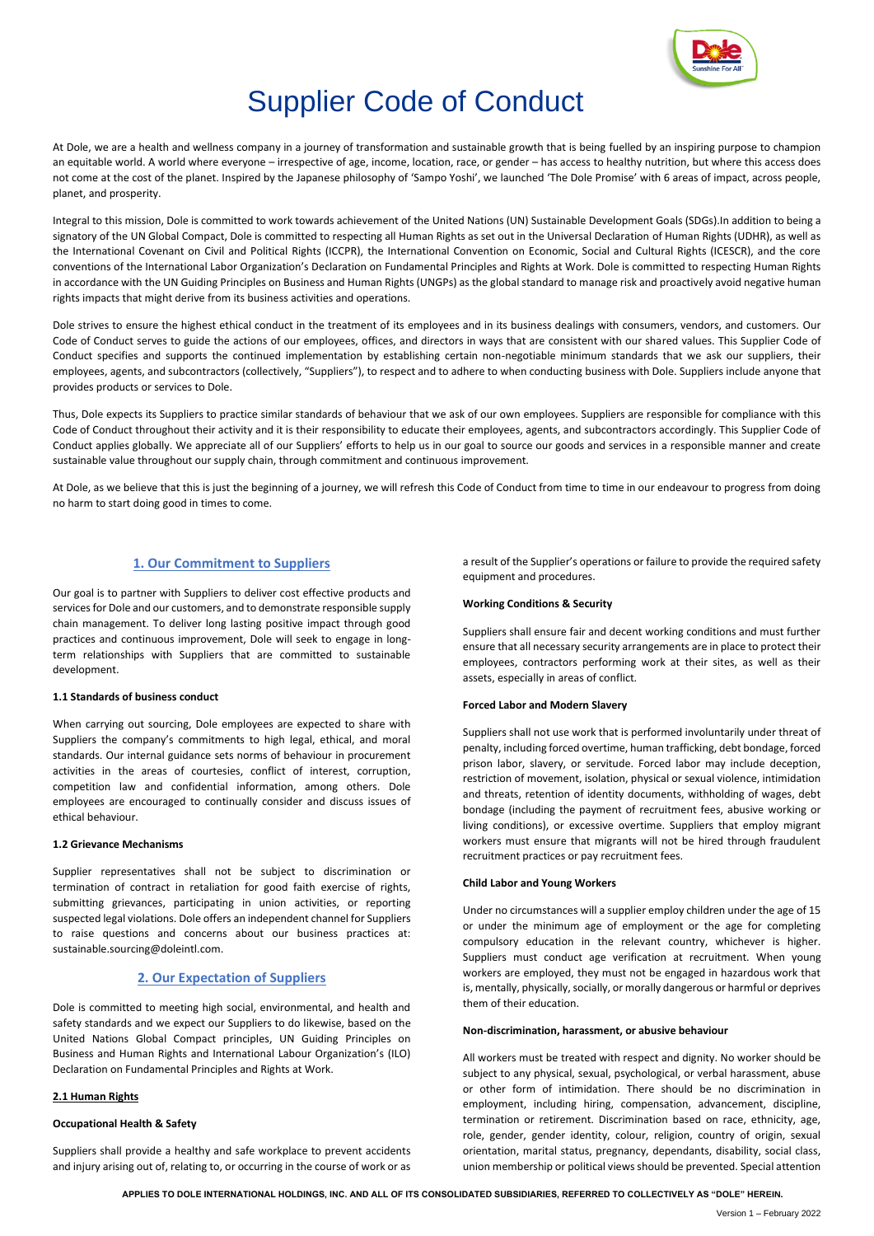

# Supplier Code of Conduct

At Dole, we are a health and wellness company in a journey of transformation and sustainable growth that is being fuelled by an inspiring purpose to champion an equitable world. A world where everyone – irrespective of age, income, location, race, or gender – has access to healthy nutrition, but where this access does not come at the cost of the planet. Inspired by the Japanese philosophy of 'Sampo Yoshi', we launched 'The Dole Promise' with 6 areas of impact, across people, planet, and prosperity.

Integral to this mission, Dole is committed to work towards achievement of the United Nations (UN) Sustainable Development Goals (SDGs).In addition to being a signatory of the UN Global Compact, Dole is committed to respecting all Human Rights as set out in the Universal Declaration of Human Rights (UDHR), as well as the International Covenant on Civil and Political Rights (ICCPR), the International Convention on Economic, Social and Cultural Rights (ICESCR), and the core conventions of the International Labor Organization's Declaration on Fundamental Principles and Rights at Work. Dole is committed to respecting Human Rights in accordance with the UN Guiding Principles on Business and Human Rights (UNGPs) as the global standard to manage risk and proactively avoid negative human rights impacts that might derive from its business activities and operations.

Dole strives to ensure the highest ethical conduct in the treatment of its employees and in its business dealings with consumers, vendors, and customers. Our Code of Conduct serves to guide the actions of our employees, offices, and directors in ways that are consistent with our shared values. This Supplier Code of Conduct specifies and supports the continued implementation by establishing certain non-negotiable minimum standards that we ask our suppliers, their employees, agents, and subcontractors (collectively, "Suppliers"), to respect and to adhere to when conducting business with Dole. Suppliers include anyone that provides products or services to Dole.

Thus, Dole expects its Suppliers to practice similar standards of behaviour that we ask of our own employees. Suppliers are responsible for compliance with this Code of Conduct throughout their activity and it is their responsibility to educate their employees, agents, and subcontractors accordingly. This Supplier Code of Conduct applies globally. We appreciate all of our Suppliers' efforts to help us in our goal to source our goods and services in a responsible manner and create sustainable value throughout our supply chain, through commitment and continuous improvement.

At Dole, as we believe that this is just the beginning of a journey, we will refresh this Code of Conduct from time to time in our endeavour to progress from doing no harm to start doing good in times to come.

# **1. Our Commitment to Suppliers**

Our goal is to partner with Suppliers to deliver cost effective products and services for Dole and our customers, and to demonstrate responsible supply chain management. To deliver long lasting positive impact through good practices and continuous improvement, Dole will seek to engage in longterm relationships with Suppliers that are committed to sustainable development.

# **1.1 Standards of business conduct**

When carrying out sourcing, Dole employees are expected to share with Suppliers the company's commitments to high legal, ethical, and moral standards. Our internal guidance sets norms of behaviour in procurement activities in the areas of courtesies, conflict of interest, corruption, competition law and confidential information, among others. Dole employees are encouraged to continually consider and discuss issues of ethical behaviour.

## **1.2 Grievance Mechanisms**

Supplier representatives shall not be subject to discrimination or termination of contract in retaliation for good faith exercise of rights, submitting grievances, participating in union activities, or reporting suspected legal violations. Dole offers an independent channel for Suppliers to raise questions and concerns about our business practices at: sustainable.sourcing@doleintl.com.

# **2. Our Expectation of Suppliers**

Dole is committed to meeting high social, environmental, and health and safety standards and we expect our Suppliers to do likewise, based on the United Nations Global Compact principles, UN Guiding Principles on Business and Human Rights and International Labour Organization's (ILO) Declaration on Fundamental Principles and Rights at Work.

# **2.1 Human Rights**

# **Occupational Health & Safety**

Suppliers shall provide a healthy and safe workplace to prevent accidents and injury arising out of, relating to, or occurring in the course of work or as

a result of the Supplier's operations or failure to provide the required safety equipment and procedures.

# **Working Conditions & Security**

Suppliers shall ensure fair and decent working conditions and must further ensure that all necessary security arrangements are in place to protect their employees, contractors performing work at their sites, as well as their assets, especially in areas of conflict.

## **Forced Labor and Modern Slavery**

Suppliers shall not use work that is performed involuntarily under threat of penalty, including forced overtime, human trafficking, debt bondage, forced prison labor, slavery, or servitude. Forced labor may include deception, restriction of movement, isolation, physical or sexual violence, intimidation and threats, retention of identity documents, withholding of wages, debt bondage (including the payment of recruitment fees, abusive working or living conditions), or excessive overtime. Suppliers that employ migrant workers must ensure that migrants will not be hired through fraudulent recruitment practices or pay recruitment fees.

## **Child Labor and Young Workers**

Under no circumstances will a supplier employ children under the age of 15 or under the minimum age of employment or the age for completing compulsory education in the relevant country, whichever is higher. Suppliers must conduct age verification at recruitment. When young workers are employed, they must not be engaged in hazardous work that is, mentally, physically, socially, or morally dangerous or harmful or deprives them of their education.

## **Non-discrimination, harassment, or abusive behaviour**

All workers must be treated with respect and dignity. No worker should be subject to any physical, sexual, psychological, or verbal harassment, abuse or other form of intimidation. There should be no discrimination in employment, including hiring, compensation, advancement, discipline, termination or retirement. Discrimination based on race, ethnicity, age, role, gender, gender identity, colour, religion, country of origin, sexual orientation, marital status, pregnancy, dependants, disability, social class, union membership or political views should be prevented. Special attention